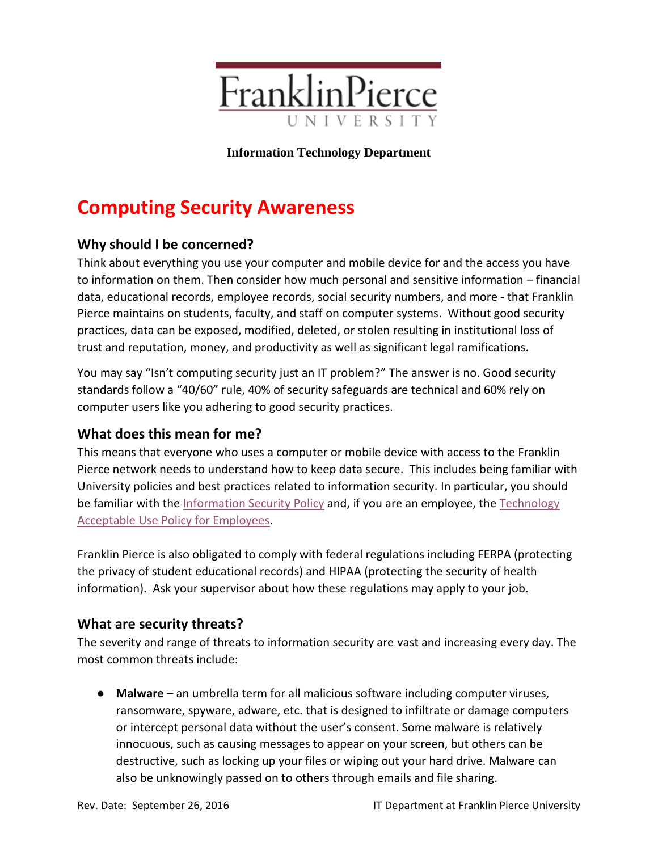

#### **Information Technology Department**

# **Computing Security Awareness**

# **Why should I be concerned?**

Think about everything you use your computer and mobile device for and the access you have to information on them. Then consider how much personal and sensitive information – financial data, educational records, employee records, social security numbers, and more - that Franklin Pierce maintains on students, faculty, and staff on computer systems. Without good security practices, data can be exposed, modified, deleted, or stolen resulting in institutional loss of trust and reputation, money, and productivity as well as significant legal ramifications.

You may say "Isn't computing security just an IT problem?" The answer is no. Good security standards follow a "40/60" rule, 40% of security safeguards are technical and 60% rely on computer users like you adhering to good security practices.

### **What does this mean for me?**

This means that everyone who uses a computer or mobile device with access to the Franklin Pierce network needs to understand how to keep data secure. This includes being familiar with University policies and best practices related to information security. In particular, you should be familiar with the [Information Security Policy](http://connect.franklinpierce.edu/Documents/Information%20Security%20Policy%20011316.pdf) and, if you are an employee, the Technology [Acceptable Use Policy for Employees.](http://connect.franklinpierce.edu/Documents/Technology%20Acceptable%20Use%20Policy%20-%20employees%20051916.pdf)

Franklin Pierce is also obligated to comply with federal regulations including FERPA (protecting the privacy of student educational records) and HIPAA (protecting the security of health information). Ask your supervisor about how these regulations may apply to your job.

### **What are security threats?**

The severity and range of threats to information security are vast and increasing every day. The most common threats include:

● **Malware** – an umbrella term for all malicious software including computer viruses, ransomware, spyware, adware, etc. that is designed to infiltrate or damage computers or intercept personal data without the user's consent. Some malware is relatively innocuous, such as causing messages to appear on your screen, but others can be destructive, such as locking up your files or wiping out your hard drive. Malware can also be unknowingly passed on to others through emails and file sharing.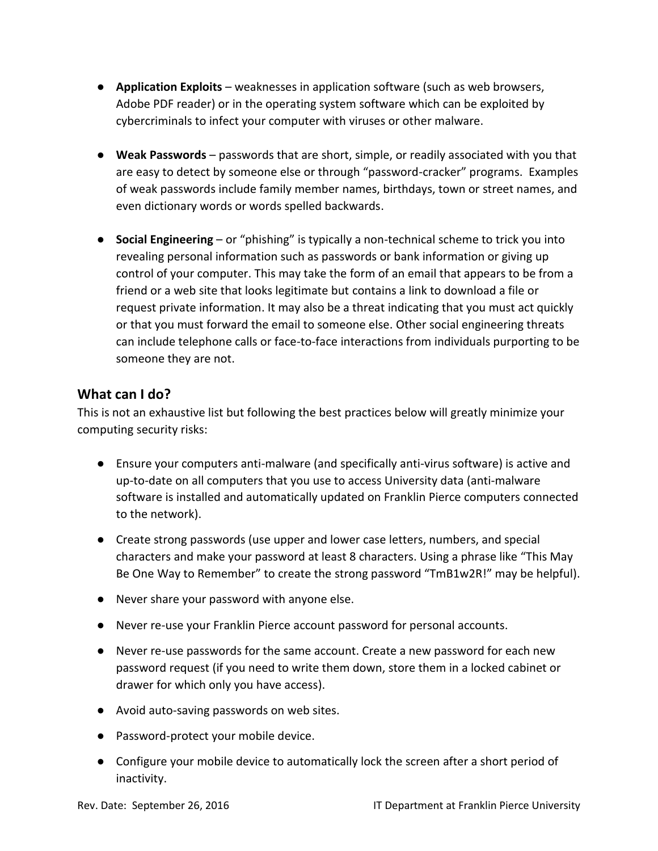- **Application Exploits** weaknesses in application software (such as web browsers, Adobe PDF reader) or in the operating system software which can be exploited by cybercriminals to infect your computer with viruses or other malware.
- **Weak Passwords** passwords that are short, simple, or readily associated with you that are easy to detect by someone else or through "password-cracker" programs. Examples of weak passwords include family member names, birthdays, town or street names, and even dictionary words or words spelled backwards.
- **Social Engineering** or "phishing" is typically a non-technical scheme to trick you into revealing personal information such as passwords or bank information or giving up control of your computer. This may take the form of an email that appears to be from a friend or a web site that looks legitimate but contains a link to download a file or request private information. It may also be a threat indicating that you must act quickly or that you must forward the email to someone else. Other social engineering threats can include telephone calls or face-to-face interactions from individuals purporting to be someone they are not.

# **What can I do?**

This is not an exhaustive list but following the best practices below will greatly minimize your computing security risks:

- Ensure your computers anti-malware (and specifically anti-virus software) is active and up-to-date on all computers that you use to access University data (anti-malware software is installed and automatically updated on Franklin Pierce computers connected to the network).
- Create strong passwords (use upper and lower case letters, numbers, and special characters and make your password at least 8 characters. Using a phrase like "This May Be One Way to Remember" to create the strong password "TmB1w2R!" may be helpful).
- Never share your password with anyone else.
- Never re-use your Franklin Pierce account password for personal accounts.
- Never re-use passwords for the same account. Create a new password for each new password request (if you need to write them down, store them in a locked cabinet or drawer for which only you have access).
- Avoid auto-saving passwords on web sites.
- Password-protect your mobile device.
- Configure your mobile device to automatically lock the screen after a short period of inactivity.